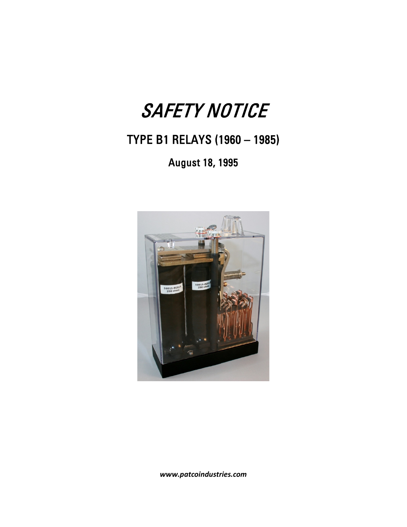## SAFETY NOTICE

## TYPE B1 RELAYS (1960 – 1985)

August 18, 1995



*www.patcoindustries.com*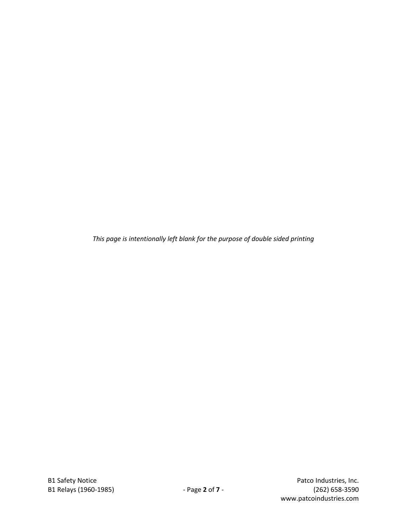*This page is intentionally left blank for the purpose of double sided printing*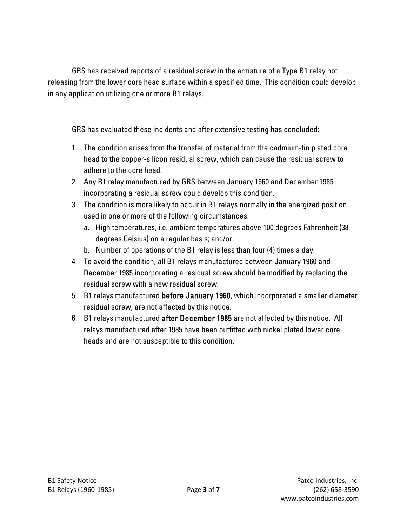GRS has received reports of a residual screw in the armature of a Type B1 relay not releasing from the lower core head surface within a specified time. This condition could develop in any application utilizing one or more B1 relays.

GRS has evaluated these incidents and after extensive testing has concluded:

- 1. The condition arises from the transfer of material from the cadmium-tin plated core head to the copper-silicon residual screw, which can cause the residual screw to adhere to the core head.
- 2. Any B1 relay manufactured by GRS between January 1960 and December 1985 incorporating a residual screw could develop this condition.
- 3. The condition is more likely to occur in B1 relays normally in the energized position used in one or more of the following circumstances:
	- a. High temperatures, i.e. ambient temperatures above 100 degrees Fahrenheit (38 degrees Celsius) on a regular basis; and/or
	- b. Number of operations of the B1 relay is less than four (4) times a day.
- 4. To avoid the condition, all B1 relays manufactured between January 1960 and December 1985 incorporating a residual screw should be modified by replacing the residual screw with a new residual screw.
- 5. B1 relays manufactured before January 1960, which incorporated a smaller diameter residual screw, are not affected by this notice.
- 6. B1 relays manufactured after December 1985 are not affected by this notice. All relays manufactured after 1985 have been outfitted with nickel plated lower core heads and are not susceptible to this condition.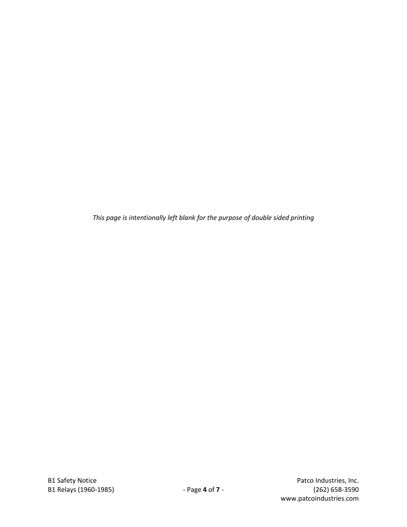*This page is intentionally left blank for the purpose of double sided printing*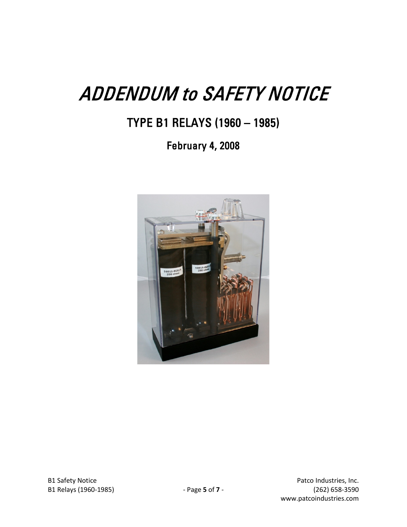## ADDENDUM to SAFETY NOTICE

TYPE B1 RELAYS (1960 – 1985)

February 4, 2008

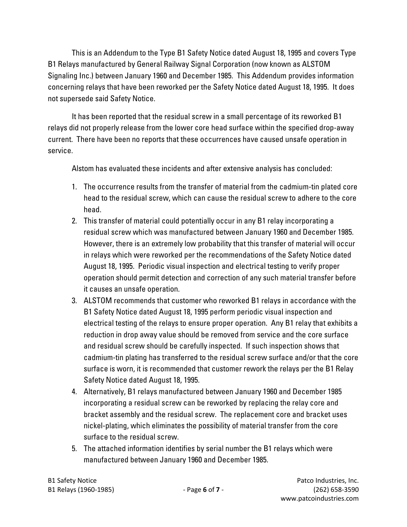This is an Addendum to the Type B1 Safety Notice dated August 18, 1995 and covers Type B1 Relays manufactured by General Railway Signal Corporation (now known as ALSTOM Signaling Inc.) between January 1960 and December 1985. This Addendum provides information concerning relays that have been reworked per the Safety Notice dated August 18, 1995. It does not supersede said Safety Notice.

It has been reported that the residual screw in a small percentage of its reworked B1 relays did not properly release from the lower core head surface within the specified drop-away current. There have been no reports that these occurrences have caused unsafe operation in service.

Alstom has evaluated these incidents and after extensive analysis has concluded:

- 1. The occurrence results from the transfer of material from the cadmium-tin plated core head to the residual screw, which can cause the residual screw to adhere to the core head.
- 2. This transfer of material could potentially occur in any B1 relay incorporating a residual screw which was manufactured between January 1960 and December 1985. However, there is an extremely low probability that this transfer of material will occur in relays which were reworked per the recommendations of the Safety Notice dated August 18, 1995. Periodic visual inspection and electrical testing to verify proper operation should permit detection and correction of any such material transfer before it causes an unsafe operation.
- 3. ALSTOM recommends that customer who reworked B1 relays in accordance with the B1 Safety Notice dated August 18, 1995 perform periodic visual inspection and electrical testing of the relays to ensure proper operation. Any B1 relay that exhibits a reduction in drop away value should be removed from service and the core surface and residual screw should be carefully inspected. If such inspection shows that cadmium-tin plating has transferred to the residual screw surface and/or that the core surface is worn, it is recommended that customer rework the relays per the B1 Relay Safety Notice dated August 18, 1995.
- 4. Alternatively, B1 relays manufactured between January 1960 and December 1985 incorporating a residual screw can be reworked by replacing the relay core and bracket assembly and the residual screw. The replacement core and bracket uses nickel-plating, which eliminates the possibility of material transfer from the core surface to the residual screw.
- 5. The attached information identifies by serial number the B1 relays which were manufactured between January 1960 and December 1985.